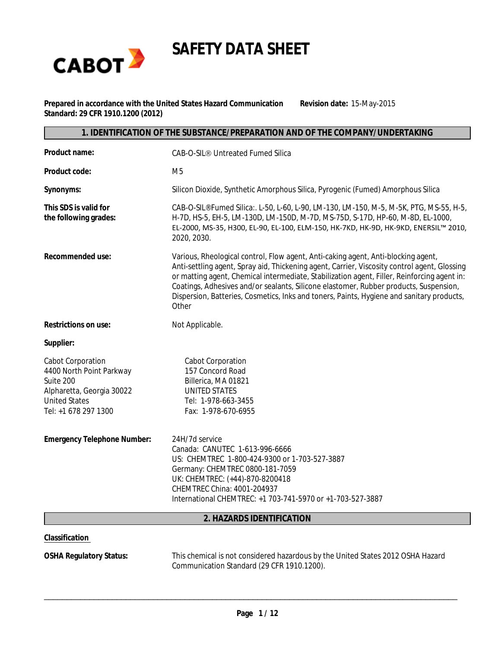

**SAFETY DATA SHEET**

**Prepared in accordance with the United States Hazard Communication Standard: 29 CFR 1910.1200 (2012)**

**Revision date:** 15-May-2015

#### **1. IDENTIFICATION OF THE SUBSTANCE/PREPARATION AND OF THE COMPANY/UNDERTAKING**

| Product name:                                                                                                                                  | CAB-O-SIL® Untreated Fumed Silica                                                                                                                                                                                                                                                                                                                                                                                                                                               |
|------------------------------------------------------------------------------------------------------------------------------------------------|---------------------------------------------------------------------------------------------------------------------------------------------------------------------------------------------------------------------------------------------------------------------------------------------------------------------------------------------------------------------------------------------------------------------------------------------------------------------------------|
| Product code:                                                                                                                                  | M <sub>5</sub>                                                                                                                                                                                                                                                                                                                                                                                                                                                                  |
| Synonyms:                                                                                                                                      | Silicon Dioxide, Synthetic Amorphous Silica, Pyrogenic (Fumed) Amorphous Silica                                                                                                                                                                                                                                                                                                                                                                                                 |
| This SDS is valid for<br>the following grades:                                                                                                 | CAB-O-SIL® Fumed Silica:. L-50, L-60, L-90, LM-130, LM-150, M-5, M-5K, PTG, MS-55, H-5,<br>H-7D, HS-5, EH-5, LM-130D, LM-150D, M-7D, MS-75D, S-17D, HP-60, M-8D, EL-1000,<br>EL-2000, MS-35, H300, EL-90, EL-100, ELM-150, HK-7KD, HK-9D, HK-9KD, ENERSIL™ 2010,<br>2020, 2030.                                                                                                                                                                                                 |
| Recommended use:                                                                                                                               | Various, Rheological control, Flow agent, Anti-caking agent, Anti-blocking agent,<br>Anti-settling agent, Spray aid, Thickening agent, Carrier, Viscosity control agent, Glossing<br>or matting agent, Chemical intermediate, Stabilization agent, Filler, Reinforcing agent in:<br>Coatings, Adhesives and/or sealants, Silicone elastomer, Rubber products, Suspension,<br>Dispersion, Batteries, Cosmetics, Inks and toners, Paints, Hygiene and sanitary products,<br>Other |
| Restrictions on use:                                                                                                                           | Not Applicable.                                                                                                                                                                                                                                                                                                                                                                                                                                                                 |
| Supplier:                                                                                                                                      |                                                                                                                                                                                                                                                                                                                                                                                                                                                                                 |
| <b>Cabot Corporation</b><br>4400 North Point Parkway<br>Suite 200<br>Alpharetta, Georgia 30022<br><b>United States</b><br>Tel: +1 678 297 1300 | <b>Cabot Corporation</b><br>157 Concord Road<br>Billerica, MA 01821<br><b>UNITED STATES</b><br>Tel: 1-978-663-3455<br>Fax: 1-978-670-6955                                                                                                                                                                                                                                                                                                                                       |
| Emergency Telephone Number:                                                                                                                    | 24H/7d service<br>Canada: CANUTEC 1-613-996-6666<br>US: CHEMTREC 1-800-424-9300 or 1-703-527-3887<br>Germany: CHEMTREC 0800-181-7059<br>UK: CHEMTREC: (+44)-870-8200418<br>CHEMTREC China: 4001-204937<br>International CHEMTREC: +1 703-741-5970 or +1-703-527-3887                                                                                                                                                                                                            |
|                                                                                                                                                | 2. HAZARDS IDENTIFICATION                                                                                                                                                                                                                                                                                                                                                                                                                                                       |

#### **Classification**

**OSHA Regulatory Status:** This chemical is not considered hazardous by the United States 2012 OSHA Hazard Communication Standard (29 CFR 1910.1200).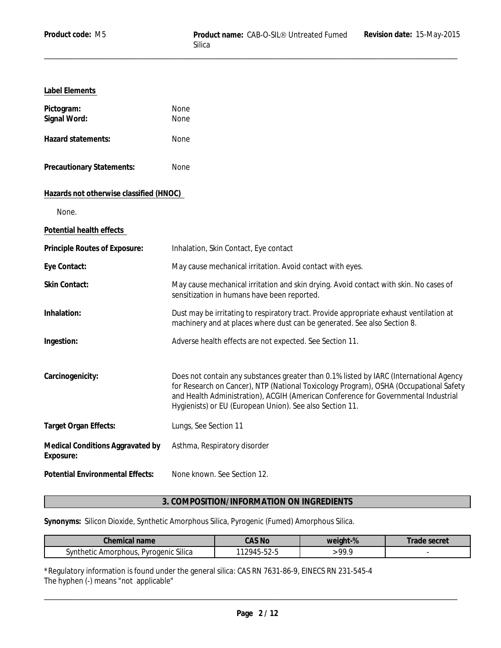# **Label Elements**

| Pictogram:<br>Signal Word:                    | None<br>None                                                                                                                                                                                                                                                                                                                      |
|-----------------------------------------------|-----------------------------------------------------------------------------------------------------------------------------------------------------------------------------------------------------------------------------------------------------------------------------------------------------------------------------------|
| Hazard statements:                            | None                                                                                                                                                                                                                                                                                                                              |
| Precautionary Statements:                     | None                                                                                                                                                                                                                                                                                                                              |
| Hazards not otherwise classified (HNOC)       |                                                                                                                                                                                                                                                                                                                                   |
| None.                                         |                                                                                                                                                                                                                                                                                                                                   |
| Potential health effects                      |                                                                                                                                                                                                                                                                                                                                   |
| Principle Routes of Exposure:                 | Inhalation, Skin Contact, Eye contact                                                                                                                                                                                                                                                                                             |
| Eye Contact:                                  | May cause mechanical irritation. Avoid contact with eyes.                                                                                                                                                                                                                                                                         |
| Skin Contact:                                 | May cause mechanical irritation and skin drying. Avoid contact with skin. No cases of<br>sensitization in humans have been reported.                                                                                                                                                                                              |
| Inhalation:                                   | Dust may be irritating to respiratory tract. Provide appropriate exhaust ventilation at<br>machinery and at places where dust can be generated. See also Section 8.                                                                                                                                                               |
| Ingestion:                                    | Adverse health effects are not expected. See Section 11.                                                                                                                                                                                                                                                                          |
|                                               |                                                                                                                                                                                                                                                                                                                                   |
| Carcinogenicity:                              | Does not contain any substances greater than 0.1% listed by IARC (International Agency<br>for Research on Cancer), NTP (National Toxicology Program), OSHA (Occupational Safety<br>and Health Administration), ACGIH (American Conference for Governmental Industrial<br>Hygienists) or EU (European Union). See also Section 11. |
| Target Organ Effects:                         | Lungs, See Section 11                                                                                                                                                                                                                                                                                                             |
| Medical Conditions Aggravated by<br>Exposure: | Asthma, Respiratory disorder                                                                                                                                                                                                                                                                                                      |
| <b>Potential Environmental Effects:</b>       | None known. See Section 12.                                                                                                                                                                                                                                                                                                       |

# **3. COMPOSITION/INFORMATION ON INGREDIENTS**

**Synonyms:** Silicon Dioxide, Synthetic Amorphous Silica, Pyrogenic (Fumed) Amorphous Silica.

| Chemi<br>name<br>iiual                                     | CAS No                                         | $\sim$ 0/<br>weight-% | secret |
|------------------------------------------------------------|------------------------------------------------|-----------------------|--------|
| Pyrogenic Silica<br>∖vn:<br>morphous,<br>Аľ<br>пенс<br>. . | $ -$<br>ושי<br>.<br>٠.<br>ັບ∠<br>$\sim$ $\sim$ | oο<br>, , , ,         |        |

\*Regulatory information is found under the general silica: CAS RN 7631-86-9, EINECS RN 231-545-4 The hyphen (-) means "not applicable"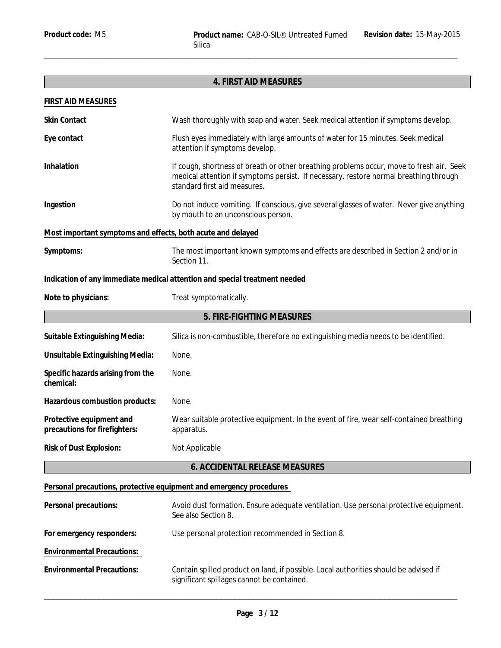|                                                             | 4. FIRST AID MEASURES                                                                                                                                                                                             |  |
|-------------------------------------------------------------|-------------------------------------------------------------------------------------------------------------------------------------------------------------------------------------------------------------------|--|
| FIRST AID MEASURES                                          |                                                                                                                                                                                                                   |  |
| Skin Contact                                                | Wash thoroughly with soap and water. Seek medical attention if symptoms develop.                                                                                                                                  |  |
| Eye contact                                                 | Flush eyes immediately with large amounts of water for 15 minutes. Seek medical<br>attention if symptoms develop.                                                                                                 |  |
| Inhalation                                                  | If cough, shortness of breath or other breathing problems occur, move to fresh air. Seek<br>medical attention if symptoms persist. If necessary, restore normal breathing through<br>standard first aid measures. |  |
| Ingestion                                                   | Do not induce vomiting. If conscious, give several glasses of water. Never give anything<br>by mouth to an unconscious person.                                                                                    |  |
| Most important symptoms and effects, both acute and delayed |                                                                                                                                                                                                                   |  |
| Symptoms:                                                   | The most important known symptoms and effects are described in Section 2 and/or in<br>Section 11.                                                                                                                 |  |
|                                                             | Indication of any immediate medical attention and special treatment needed                                                                                                                                        |  |
| Note to physicians:                                         | Treat symptomatically.                                                                                                                                                                                            |  |
|                                                             | 5. FIRE-FIGHTING MEASURES                                                                                                                                                                                         |  |
| Suitable Extinguishing Media:                               | Silica is non-combustible, therefore no extinguishing media needs to be identified.                                                                                                                               |  |
| Unsuitable Extinguishing Media:                             | None.                                                                                                                                                                                                             |  |
| Specific hazards arising from the<br>chemical:              | None.                                                                                                                                                                                                             |  |
| Hazardous combustion products:                              | None.                                                                                                                                                                                                             |  |
| Protective equipment and<br>precautions for firefighters:   | Wear suitable protective equipment. In the event of fire, wear self-contained breathing<br>apparatus.                                                                                                             |  |
| Risk of Dust Explosion:                                     | Not Applicable                                                                                                                                                                                                    |  |
|                                                             | 6. ACCIDENTAL RELEASE MEASURES                                                                                                                                                                                    |  |
|                                                             | Personal precautions, protective equipment and emergency procedures                                                                                                                                               |  |
| Personal precautions:                                       | Avoid dust formation. Ensure adequate ventilation. Use personal protective equipment.<br>See also Section 8.                                                                                                      |  |
| For emergency responders:                                   | Use personal protection recommended in Section 8.                                                                                                                                                                 |  |
| <b>Environmental Precautions:</b>                           |                                                                                                                                                                                                                   |  |
| <b>Environmental Precautions:</b>                           | Contain spilled product on land, if possible. Local authorities should be advised if<br>significant spillages cannot be contained.                                                                                |  |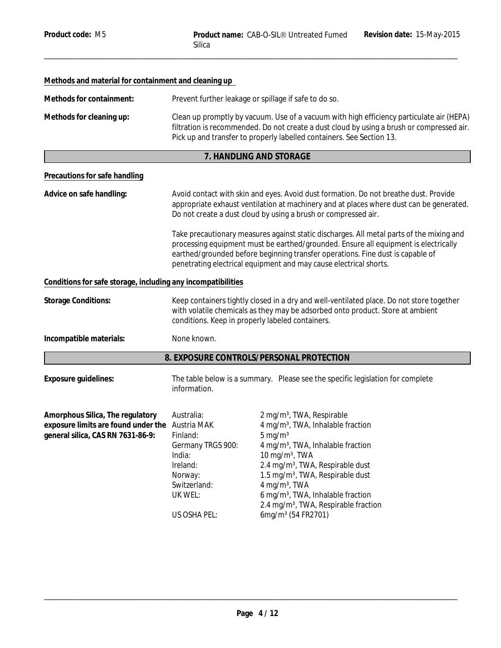| Methods and material for containment and cleaning up                                                                     |                                                                                                                                                                                                                                                                                                                                                                                                                                                                                                                                                                                             |                                                                                                                                                                                                                                                                                                                                                                                                                                                                 |
|--------------------------------------------------------------------------------------------------------------------------|---------------------------------------------------------------------------------------------------------------------------------------------------------------------------------------------------------------------------------------------------------------------------------------------------------------------------------------------------------------------------------------------------------------------------------------------------------------------------------------------------------------------------------------------------------------------------------------------|-----------------------------------------------------------------------------------------------------------------------------------------------------------------------------------------------------------------------------------------------------------------------------------------------------------------------------------------------------------------------------------------------------------------------------------------------------------------|
| Methods for containment:                                                                                                 | Prevent further leakage or spillage if safe to do so.                                                                                                                                                                                                                                                                                                                                                                                                                                                                                                                                       |                                                                                                                                                                                                                                                                                                                                                                                                                                                                 |
| Methods for cleaning up:                                                                                                 | Clean up promptly by vacuum. Use of a vacuum with high efficiency particulate air (HEPA)<br>filtration is recommended. Do not create a dust cloud by using a brush or compressed air.<br>Pick up and transfer to properly labelled containers. See Section 13.                                                                                                                                                                                                                                                                                                                              |                                                                                                                                                                                                                                                                                                                                                                                                                                                                 |
|                                                                                                                          |                                                                                                                                                                                                                                                                                                                                                                                                                                                                                                                                                                                             | 7. HANDLING AND STORAGE                                                                                                                                                                                                                                                                                                                                                                                                                                         |
| Precautions for safe handling                                                                                            |                                                                                                                                                                                                                                                                                                                                                                                                                                                                                                                                                                                             |                                                                                                                                                                                                                                                                                                                                                                                                                                                                 |
| Advice on safe handling:                                                                                                 | Avoid contact with skin and eyes. Avoid dust formation. Do not breathe dust. Provide<br>appropriate exhaust ventilation at machinery and at places where dust can be generated.<br>Do not create a dust cloud by using a brush or compressed air.<br>Take precautionary measures against static discharges. All metal parts of the mixing and<br>processing equipment must be earthed/grounded. Ensure all equipment is electrically<br>earthed/grounded before beginning transfer operations. Fine dust is capable of<br>penetrating electrical equipment and may cause electrical shorts. |                                                                                                                                                                                                                                                                                                                                                                                                                                                                 |
|                                                                                                                          |                                                                                                                                                                                                                                                                                                                                                                                                                                                                                                                                                                                             |                                                                                                                                                                                                                                                                                                                                                                                                                                                                 |
| Conditions for safe storage, including any incompatibilities                                                             |                                                                                                                                                                                                                                                                                                                                                                                                                                                                                                                                                                                             |                                                                                                                                                                                                                                                                                                                                                                                                                                                                 |
| <b>Storage Conditions:</b>                                                                                               | Keep containers tightly closed in a dry and well-ventilated place. Do not store together<br>with volatile chemicals as they may be adsorbed onto product. Store at ambient<br>conditions. Keep in properly labeled containers.                                                                                                                                                                                                                                                                                                                                                              |                                                                                                                                                                                                                                                                                                                                                                                                                                                                 |
| Incompatible materials:                                                                                                  | None known.                                                                                                                                                                                                                                                                                                                                                                                                                                                                                                                                                                                 |                                                                                                                                                                                                                                                                                                                                                                                                                                                                 |
|                                                                                                                          |                                                                                                                                                                                                                                                                                                                                                                                                                                                                                                                                                                                             | 8. EXPOSURE CONTROLS/PERSONAL PROTECTION                                                                                                                                                                                                                                                                                                                                                                                                                        |
| Exposure guidelines:                                                                                                     | The table below is a summary. Please see the specific legislation for complete<br>information.                                                                                                                                                                                                                                                                                                                                                                                                                                                                                              |                                                                                                                                                                                                                                                                                                                                                                                                                                                                 |
| Amorphous Silica, The regulatory<br>exposure limits are found under the Austria MAK<br>general silica, CAS RN 7631-86-9: | Australia:<br>Finland:<br>Germany TRGS 900:<br>India:<br>Ireland:<br>Norway:<br>Switzerland:<br>UK WEL:<br>US OSHA PEL:                                                                                                                                                                                                                                                                                                                                                                                                                                                                     | 2 mg/m <sup>3</sup> , TWA, Respirable<br>4 mg/m <sup>3</sup> , TWA, Inhalable fraction<br>$5 \text{ mg/m}^3$<br>4 mg/m <sup>3</sup> , TWA, Inhalable fraction<br>10 mg/m <sup>3</sup> , TWA<br>2.4 mg/m <sup>3</sup> , TWA, Respirable dust<br>1.5 mg/m <sup>3</sup> , TWA, Respirable dust<br>4 mg/m <sup>3</sup> , TWA<br>6 mg/m <sup>3</sup> , TWA, Inhalable fraction<br>2.4 mg/m <sup>3</sup> , TWA, Respirable fraction<br>6mg/m <sup>3</sup> (54 FR2701) |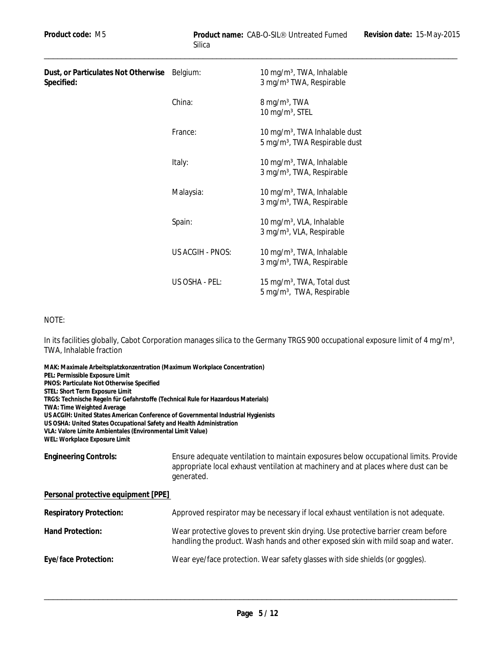10 mg/m $3$ , TWA, Inhalable

**Dust, or Particulates Not Otherwise Specified:**

|                  | 3 mg/m <sup>3</sup> TWA, Respirable                                                    |
|------------------|----------------------------------------------------------------------------------------|
| China:           | $8 \,\mathrm{mg/m^3}$ , TWA<br>10 mg/m <sup>3</sup> , STEL                             |
| France:          | 10 mg/m <sup>3</sup> , TWA Inhalable dust<br>5 mg/m <sup>3</sup> , TWA Respirable dust |
| Italy:           | 10 mg/m <sup>3</sup> , TWA, Inhalable<br>3 mg/m <sup>3</sup> , TWA, Respirable         |
| Malaysia:        | 10 mg/m <sup>3</sup> , TWA, Inhalable<br>3 mg/m <sup>3</sup> , TWA, Respirable         |
| Spain:           | 10 mg/m <sup>3</sup> , VLA, Inhalable<br>3 mg/m <sup>3</sup> , VLA, Respirable         |
| US ACGIH - PNOS: | 10 mg/m <sup>3</sup> , TWA, Inhalable<br>3 mg/m <sup>3</sup> , TWA, Respirable         |
| US OSHA - PEL:   | 15 mg/m <sup>3</sup> , TWA, Total dust<br>5 mg/m <sup>3</sup> , TWA, Respirable        |

#### NOTE:

In its facilities globally, Cabot Corporation manages silica to the Germany TRGS 900 occupational exposure limit of 4 mg/m<sup>3</sup>, TWA, Inhalable fraction

**MAK: Maximale Arbeitsplatzkonzentration (Maximum Workplace Concentration) PEL: Permissible Exposure Limit PNOS: Particulate Not Otherwise Specified STEL: Short Term Exposure Limit TRGS: Technische Regeln für Gefahrstoffe (Technical Rule for Hazardous Materials) TWA: Time Weighted Average US ACGIH: United States American Conference of Governmental Industrial Hygienists US OSHA: United States Occupational Safety and Health Administration VLA: Valore Límite Ambientales (Environmental Limit Value) WEL: Workplace Exposure Limit Engineering Controls:** Ensure adequate ventilation to maintain exposures below occupational limits. Provide appropriate local exhaust ventilation at machinery and at places where dust can be generated. **Personal protective equipment [PPE]** 

| Respiratory Protection: | Approved respirator may be necessary if local exhaust ventilation is not adequate.                                                                                      |
|-------------------------|-------------------------------------------------------------------------------------------------------------------------------------------------------------------------|
| Hand Protection:        | Wear protective gloves to prevent skin drying. Use protective barrier cream before<br>handling the product. Wash hands and other exposed skin with mild soap and water. |
| Eye/face Protection:    | Wear eye/face protection. Wear safety glasses with side shields (or goggles).                                                                                           |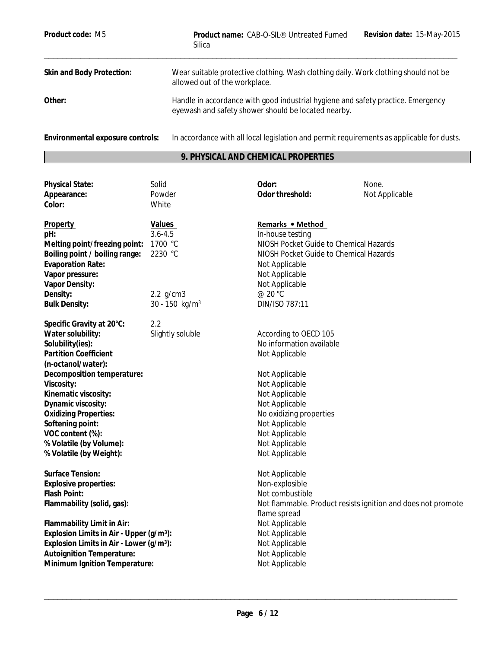| Product code: M5                 | Revision date: 15-May-2015<br>Product name: CAB-O-SIL <sup>®</sup> Untreated Fumed<br>Silica                                            |
|----------------------------------|-----------------------------------------------------------------------------------------------------------------------------------------|
| Skin and Body Protection:        | Wear suitable protective clothing. Wash clothing daily. Work clothing should not be<br>allowed out of the workplace.                    |
| Other:                           | Handle in accordance with good industrial hygiene and safety practice. Emergency<br>eyewash and safety shower should be located nearby. |
| Environmental exposure controls: | In accordance with all local legislation and permit requirements as applicable for dusts.                                               |

# **9. PHYSICAL AND CHEMICAL PROPERTIES**

| Not Applicable                                               |  |
|--------------------------------------------------------------|--|
|                                                              |  |
|                                                              |  |
| NIOSH Pocket Guide to Chemical Hazards                       |  |
| NIOSH Pocket Guide to Chemical Hazards                       |  |
|                                                              |  |
|                                                              |  |
|                                                              |  |
|                                                              |  |
|                                                              |  |
|                                                              |  |
|                                                              |  |
|                                                              |  |
|                                                              |  |
|                                                              |  |
|                                                              |  |
|                                                              |  |
|                                                              |  |
|                                                              |  |
|                                                              |  |
|                                                              |  |
|                                                              |  |
|                                                              |  |
|                                                              |  |
|                                                              |  |
|                                                              |  |
|                                                              |  |
| Not flammable. Product resists ignition and does not promote |  |
|                                                              |  |
|                                                              |  |
|                                                              |  |
|                                                              |  |
|                                                              |  |
|                                                              |  |
|                                                              |  |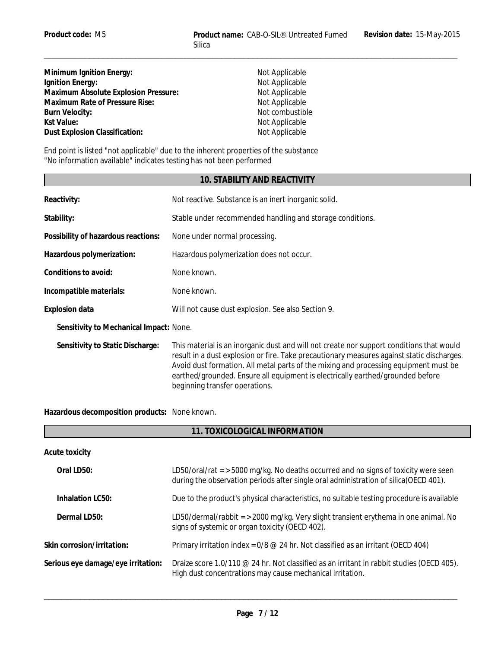| Minimum Ignition Energy:             |  |
|--------------------------------------|--|
| Ignition Energy:                     |  |
| Maximum Absolute Explosion Pressure: |  |
| Maximum Rate of Pressure Rise:       |  |
| Burn Velocity:                       |  |
| Kst Value:                           |  |
| Dust Explosion Classification:       |  |

**Not Applicable Not Applicable Not Applicable Not Applicable Burn Velocity:** Not combustible **Not Applicable** Not Applicable

 $\_$  ,  $\_$  ,  $\_$  ,  $\_$  ,  $\_$  ,  $\_$  ,  $\_$  ,  $\_$  ,  $\_$  ,  $\_$  ,  $\_$  ,  $\_$  ,  $\_$  ,  $\_$  ,  $\_$  ,  $\_$  ,  $\_$  ,  $\_$  ,  $\_$  ,  $\_$  ,  $\_$  ,  $\_$  ,  $\_$  ,  $\_$  ,  $\_$  ,  $\_$  ,  $\_$  ,  $\_$  ,  $\_$  ,  $\_$  ,  $\_$  ,  $\_$  ,  $\_$  ,  $\_$  ,  $\_$  ,  $\_$  ,  $\_$  ,

End point is listed "not applicable" due to the inherent properties of the substance "No information available" indicates testing has not been performed

# **10. STABILITY AND REACTIVITY**

| Not reactive. Substance is an inert inorganic solid.                                                                                                                                                                                                                                                                                                                                               |
|----------------------------------------------------------------------------------------------------------------------------------------------------------------------------------------------------------------------------------------------------------------------------------------------------------------------------------------------------------------------------------------------------|
| Stable under recommended handling and storage conditions.                                                                                                                                                                                                                                                                                                                                          |
| None under normal processing.                                                                                                                                                                                                                                                                                                                                                                      |
| Hazardous polymerization does not occur.                                                                                                                                                                                                                                                                                                                                                           |
| None known.                                                                                                                                                                                                                                                                                                                                                                                        |
| None known.                                                                                                                                                                                                                                                                                                                                                                                        |
| Will not cause dust explosion. See also Section 9.                                                                                                                                                                                                                                                                                                                                                 |
| Sensitivity to Mechanical Impact: None.                                                                                                                                                                                                                                                                                                                                                            |
| This material is an inorganic dust and will not create nor support conditions that would<br>result in a dust explosion or fire. Take precautionary measures against static discharges.<br>Avoid dust formation. All metal parts of the mixing and processing equipment must be<br>earthed/grounded. Ensure all equipment is electrically earthed/grounded before<br>beginning transfer operations. |
|                                                                                                                                                                                                                                                                                                                                                                                                    |

**Hazardous decomposition products:** None known.

Ē

| 11. TOXICOLOGICAL INFORMATION      |                                                                                                                                                                                |  |
|------------------------------------|--------------------------------------------------------------------------------------------------------------------------------------------------------------------------------|--|
| Acute toxicity                     |                                                                                                                                                                                |  |
| Oral LD50:                         | LD50/oral/rat $=$ > 5000 mg/kg. No deaths occurred and no signs of toxicity were seen<br>during the observation periods after single oral administration of silica (OECD 401). |  |
| Inhalation LC50:                   | Due to the product's physical characteristics, no suitable testing procedure is available                                                                                      |  |
| Dermal LD50:                       | LD50/dermal/rabbit = $>$ 2000 mg/kg. Very slight transient erythema in one animal. No<br>signs of systemic or organ toxicity (OECD 402).                                       |  |
| Skin corrosion/irritation:         | Primary irritation index = $0/8$ @ 24 hr. Not classified as an irritant (OECD 404)                                                                                             |  |
| Serious eye damage/eye irritation: | Draize score 1.0/110 @ 24 hr. Not classified as an irritant in rabbit studies (OECD 405).<br>High dust concentrations may cause mechanical irritation.                         |  |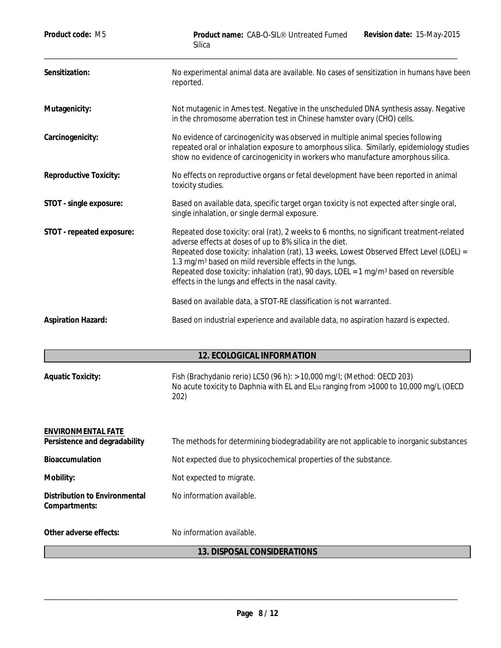| Product code: M5                                    | Revision date: 15-May-2015<br>Product name: CAB-O-SIL® Untreated Fumed<br>Silica                                                                                                                                                                                                                                                                                                                                                                                                         |
|-----------------------------------------------------|------------------------------------------------------------------------------------------------------------------------------------------------------------------------------------------------------------------------------------------------------------------------------------------------------------------------------------------------------------------------------------------------------------------------------------------------------------------------------------------|
| Sensitization:                                      | No experimental animal data are available. No cases of sensitization in humans have been<br>reported.                                                                                                                                                                                                                                                                                                                                                                                    |
| Mutagenicity:                                       | Not mutagenic in Ames test. Negative in the unscheduled DNA synthesis assay. Negative<br>in the chromosome aberration test in Chinese hamster ovary (CHO) cells.                                                                                                                                                                                                                                                                                                                         |
| Carcinogenicity:                                    | No evidence of carcinogenicity was observed in multiple animal species following<br>repeated oral or inhalation exposure to amorphous silica. Similarly, epidemiology studies<br>show no evidence of carcinogenicity in workers who manufacture amorphous silica.                                                                                                                                                                                                                        |
| Reproductive Toxicity:                              | No effects on reproductive organs or fetal development have been reported in animal<br>toxicity studies.                                                                                                                                                                                                                                                                                                                                                                                 |
| STOT - single exposure:                             | Based on available data, specific target organ toxicity is not expected after single oral,<br>single inhalation, or single dermal exposure.                                                                                                                                                                                                                                                                                                                                              |
| STOT - repeated exposure:                           | Repeated dose toxicity: oral (rat), 2 weeks to 6 months, no significant treatment-related<br>adverse effects at doses of up to 8% silica in the diet.<br>Repeated dose toxicity: inhalation (rat), 13 weeks, Lowest Observed Effect Level (LOEL) =<br>1.3 mg/m <sup>3</sup> based on mild reversible effects in the lungs.<br>Repeated dose toxicity: inhalation (rat), 90 days, LOEL = 1 mg/m <sup>3</sup> based on reversible<br>effects in the lungs and effects in the nasal cavity. |
|                                                     | Based on available data, a STOT-RE classification is not warranted.                                                                                                                                                                                                                                                                                                                                                                                                                      |
| Aspiration Hazard:                                  | Based on industrial experience and available data, no aspiration hazard is expected.                                                                                                                                                                                                                                                                                                                                                                                                     |
|                                                     | 12. ECOLOGICAL INFORMATION                                                                                                                                                                                                                                                                                                                                                                                                                                                               |
| <b>Aquatic Toxicity:</b>                            | Fish (Brachydanio rerio) LC50 (96 h): $> 10,000$ mg/l; (Method: OECD 203)<br>No acute toxicity to Daphnia with EL and EL <sub>50</sub> ranging from >1000 to 10,000 mg/L (OECD<br>202)                                                                                                                                                                                                                                                                                                   |
| ENVIRONMENTAL FATE<br>Persistence and degradability |                                                                                                                                                                                                                                                                                                                                                                                                                                                                                          |
|                                                     | The methods for determining biodegradability are not applicable to inorganic substances                                                                                                                                                                                                                                                                                                                                                                                                  |
| Bioaccumulation                                     | Not expected due to physicochemical properties of the substance.                                                                                                                                                                                                                                                                                                                                                                                                                         |
| Mobility:                                           | Not expected to migrate.                                                                                                                                                                                                                                                                                                                                                                                                                                                                 |
| Distribution to Environmental<br>Compartments:      | No information available.                                                                                                                                                                                                                                                                                                                                                                                                                                                                |

Other adverse effects: No information available.

# **13. DISPOSAL CONSIDERATIONS**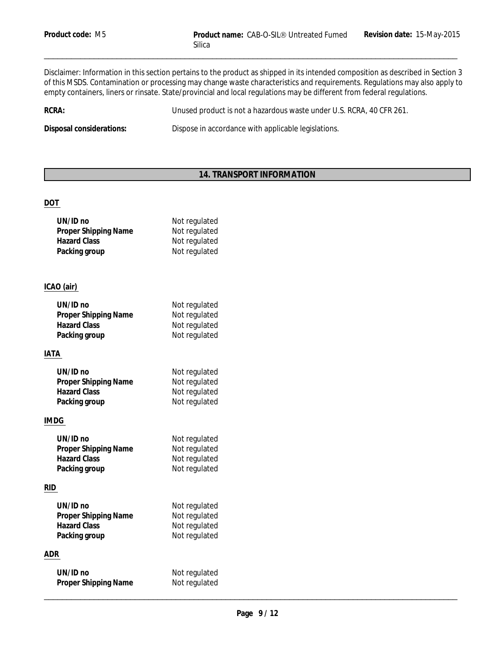Disclaimer: Information in this section pertains to the product as shipped in its intended composition as described in Section 3 of this MSDS. Contamination or processing may change waste characteristics and requirements. Regulations may also apply to empty containers, liners or rinsate. State/provincial and local regulations may be different from federal regulations.

**RCRA:** Unused product is not a hazardous waste under U.S. RCRA, 40 CFR 261.

**Disposal considerations:** Dispose in accordance with applicable legislations.

# **14. TRANSPORT INFORMATION**

# **DOT**

| UN/ID no             | Not regulated |
|----------------------|---------------|
| Proper Shipping Name | Not regulated |
| <b>Hazard Class</b>  | Not regulated |
| Packing group        | Not regulated |

# **ICAO (air)**

| UN/ID no             | Not regulated |
|----------------------|---------------|
| Proper Shipping Name | Not regulated |
| <b>Hazard Class</b>  | Not regulated |
| Packing group        | Not regulated |
|                      |               |

# **IATA**

| $UN/ID$ no           | Not regulated |
|----------------------|---------------|
| Proper Shipping Name | Not regulated |
| <b>Hazard Class</b>  | Not regulated |
| Packing group        | Not regulated |

# **IMDG**

| $UN/ID$ no           | Not regulated |
|----------------------|---------------|
| Proper Shipping Name | Not regulated |
| <b>Hazard Class</b>  | Not regulated |
| Packing group        | Not regulated |

# **RID**

| UN/ID no             | Not regulated |
|----------------------|---------------|
| Proper Shipping Name | Not regulated |
| <b>Hazard Class</b>  | Not regulated |
| Packing group        | Not regulated |

# **ADR**

| UN/ID no<br>Proper Shipping Name | Not regulated<br>Not regulated<br>$\sim$ |  |
|----------------------------------|------------------------------------------|--|
|                                  |                                          |  |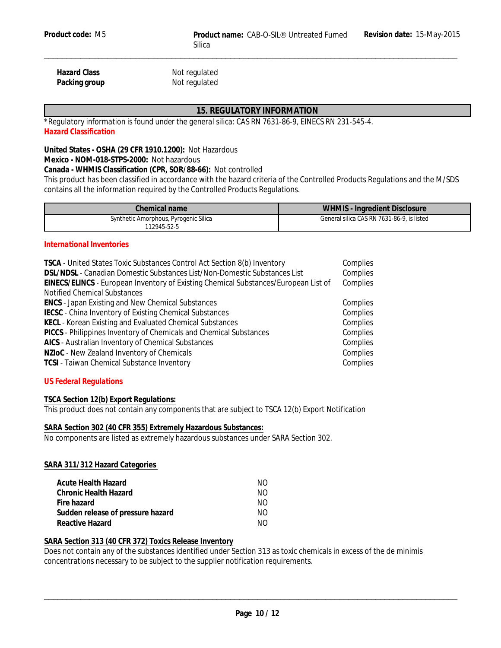Hazard Class Not regulated Packing group Not regulated

# **15. REGULATORY INFORMATION**

*\*Regulatory information is found under the general silica: CAS RN 7631-86-9, EINECS RN 231-545-4. Hazard Classification*

**United States - OSHA (29 CFR 1910.1200):** Not Hazardous **Mexico - NOM-018-STPS-2000:** Not hazardous

**Canada - WHMIS Classification (CPR, SOR/88-66):** Not controlled

This product has been classified in accordance with the hazard criteria of the Controlled Products Regulations and the M/SDS contains all the information required by the Controlled Products Regulations.

| Chemical name                                        | WHMIS<br>Ingredient Disclosure             |
|------------------------------------------------------|--------------------------------------------|
| Synthetic Amorphous, Pyrogenic Silica<br>112945-52-5 | General silica CAS RN 7631-86-9, is listed |

#### *International Inventories*

| TSCA - United States Toxic Substances Control Act Section 8(b) Inventory            | Complies |
|-------------------------------------------------------------------------------------|----------|
| DSL/NDSL - Canadian Domestic Substances List/Non-Domestic Substances List           | Complies |
| EINECS/ELINCS - European Inventory of Existing Chemical Substances/European List of | Complies |
| <b>Notified Chemical Substances</b>                                                 |          |
| <b>ENCS - Japan Existing and New Chemical Substances</b>                            | Complies |
| IECSC - China Inventory of Existing Chemical Substances                             | Complies |
| KECL - Korean Existing and Evaluated Chemical Substances                            | Complies |
| PICCS - Philippines Inventory of Chemicals and Chemical Substances                  | Complies |
| AICS - Australian Inventory of Chemical Substances                                  | Complies |
| NZIoC - New Zealand Inventory of Chemicals                                          | Complies |
| <b>TCSI - Taiwan Chemical Substance Inventory</b>                                   | Complies |

# *US Federal Regulations*

**TSCA Section 12(b) Export Regulations:**

This product does not contain any components that are subject to TSCA 12(b) Export Notification

#### **SARA Section 302 (40 CFR 355) Extremely Hazardous Substances:**

No components are listed as extremely hazardous substances under SARA Section 302.

#### **SARA 311/312 Hazard Categories**

| Acute Health Hazard               | NO. |
|-----------------------------------|-----|
| Chronic Health Hazard             | NO. |
| Fire hazard                       | NO. |
| Sudden release of pressure hazard | NO. |
| Reactive Hazard                   | NO. |

#### **SARA Section 313 (40 CFR 372) Toxics Release Inventory**

Does not contain any of the substances identified under Section 313 as toxic chemicals in excess of the de minimis concentrations necessary to be subject to the supplier notification requirements.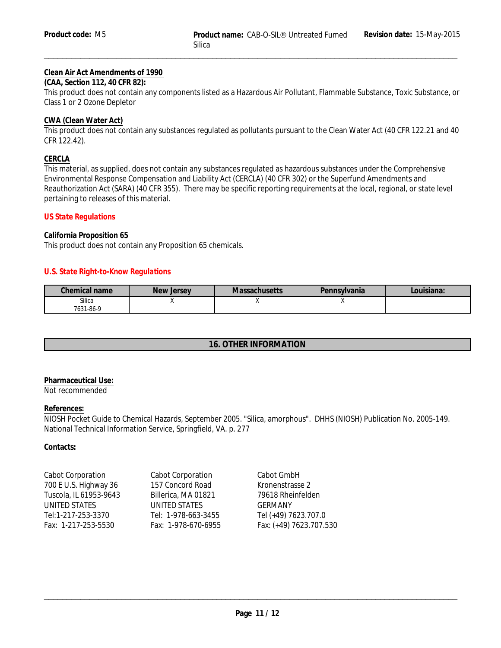# **Clean Air Act Amendments of 1990**

# **(CAA, Section 112, 40 CFR 82):**

This product does not contain any components listed as a Hazardous Air Pollutant, Flammable Substance, Toxic Substance, or Class 1 or 2 Ozone Depletor

#### **CWA (Clean Water Act)**

This product does not contain any substances regulated as pollutants pursuant to the Clean Water Act (40 CFR 122.21 and 40 CFR 122.42).

# **CERCLA**

This material, as supplied, does not contain any substances regulated as hazardous substances under the Comprehensive Environmental Response Compensation and Liability Act (CERCLA) (40 CFR 302) or the Superfund Amendments and Reauthorization Act (SARA) (40 CFR 355). There may be specific reporting requirements at the local, regional, or state level pertaining to releases of this material.

#### *US State Regulations*

#### **California Proposition 65**

This product does not contain any Proposition 65 chemicals.

#### *U.S. State Right-to-Know Regulations*

| Chemical name       | New Jersey | <b>Massachusetts</b> | Pennsylvania | Louisiana: |
|---------------------|------------|----------------------|--------------|------------|
| Silica<br>7631-86-9 |            |                      | $\cdots$     |            |

# **16. OTHER INFORMATION**

#### **Pharmaceutical Use:** Not recommended

#### **References:**

NIOSH Pocket Guide to Chemical Hazards, September 2005. "Silica, amorphous". DHHS (NIOSH) Publication No. 2005-149. National Technical Information Service, Springfield, VA. p. 277

**Contacts:**

| Cabot Corporation      | <b>Cabot Corporation</b> | Cabot GmbH    |
|------------------------|--------------------------|---------------|
| 700 E U.S. Highway 36  | 157 Concord Road         | Kronenstrass  |
| Tuscola, IL 61953-9643 | Billerica, MA 01821      | 79618 Rhein   |
| UNITED STATES          | UNITED STATES            | GERMANY       |
| Tel:1-217-253-3370     | Tel: 1-978-663-3455      | Tel (+49) 762 |
| Fax: 1-217-253-5530    | Fax: 1-978-670-6955      | Fax: (+49) 76 |
|                        |                          |               |

Cabot GmbH Kronenstrasse 2 79618 Rheinfelden GERMANY Tel (+49) 7623.707.0 Fax: (+49) 7623.707.530